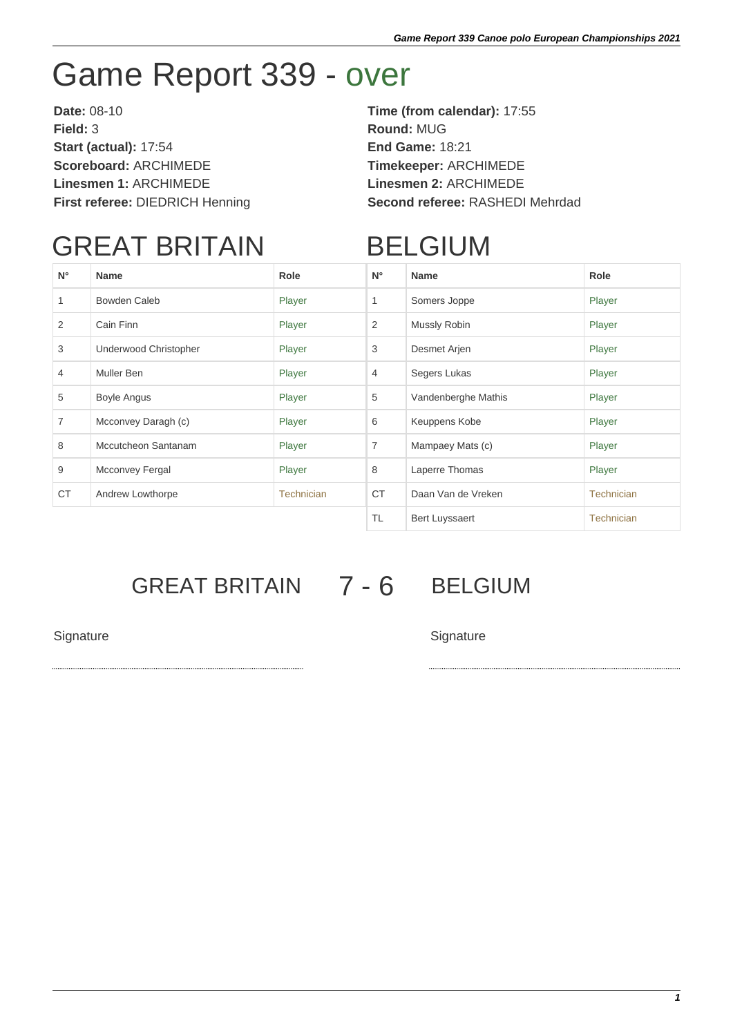# Game Report 339 - over

**Date:** 08-10 **Time (from calendar):** 17:55 **Field:** 3 **Round:** MUG **Start (actual):** 17:54 **End Game:** 18:21 **Scoreboard:** ARCHIMEDE **Timekeeper:** ARCHIMEDE **Linesmen 1:** ARCHIMEDE **Linesmen 2:** ARCHIMEDE

**First referee:** DIEDRICH Henning **Second referee:** RASHEDI Mehrdad

## GREAT BRITAIN

### BELGIUM

| $N^{\circ}$ | <b>Name</b>           | Role              | $N^{\circ}$    | <b>Name</b>           | Role       |
|-------------|-----------------------|-------------------|----------------|-----------------------|------------|
|             | Bowden Caleb          | Player            | 1              | Somers Joppe          | Player     |
| 2           | Cain Finn             | Player            | 2              | Mussly Robin          | Player     |
| 3           | Underwood Christopher | Player            | 3              | Desmet Arjen          | Player     |
| 4           | Muller Ben            | Player            | $\overline{4}$ | Segers Lukas          | Player     |
| 5           | <b>Boyle Angus</b>    | Player            | 5              | Vandenberghe Mathis   | Player     |
| 7           | Mcconvey Daragh (c)   | Player            | 6              | Keuppens Kobe         | Player     |
| 8           | Mccutcheon Santanam   | Player            | $\overline{7}$ | Mampaey Mats (c)      | Player     |
| 9           | Mcconvey Fergal       | Player            | 8              | Laperre Thomas        | Player     |
| <b>CT</b>   | Andrew Lowthorpe      | <b>Technician</b> | <b>CT</b>      | Daan Van de Vreken    | Technician |
|             |                       |                   | <b>TL</b>      | <b>Bert Luyssaert</b> | Technician |

### GREAT BRITAIN 7 - 6 BELGIUM

Signature Signature Signature Signature Signature Signature Signature Signature